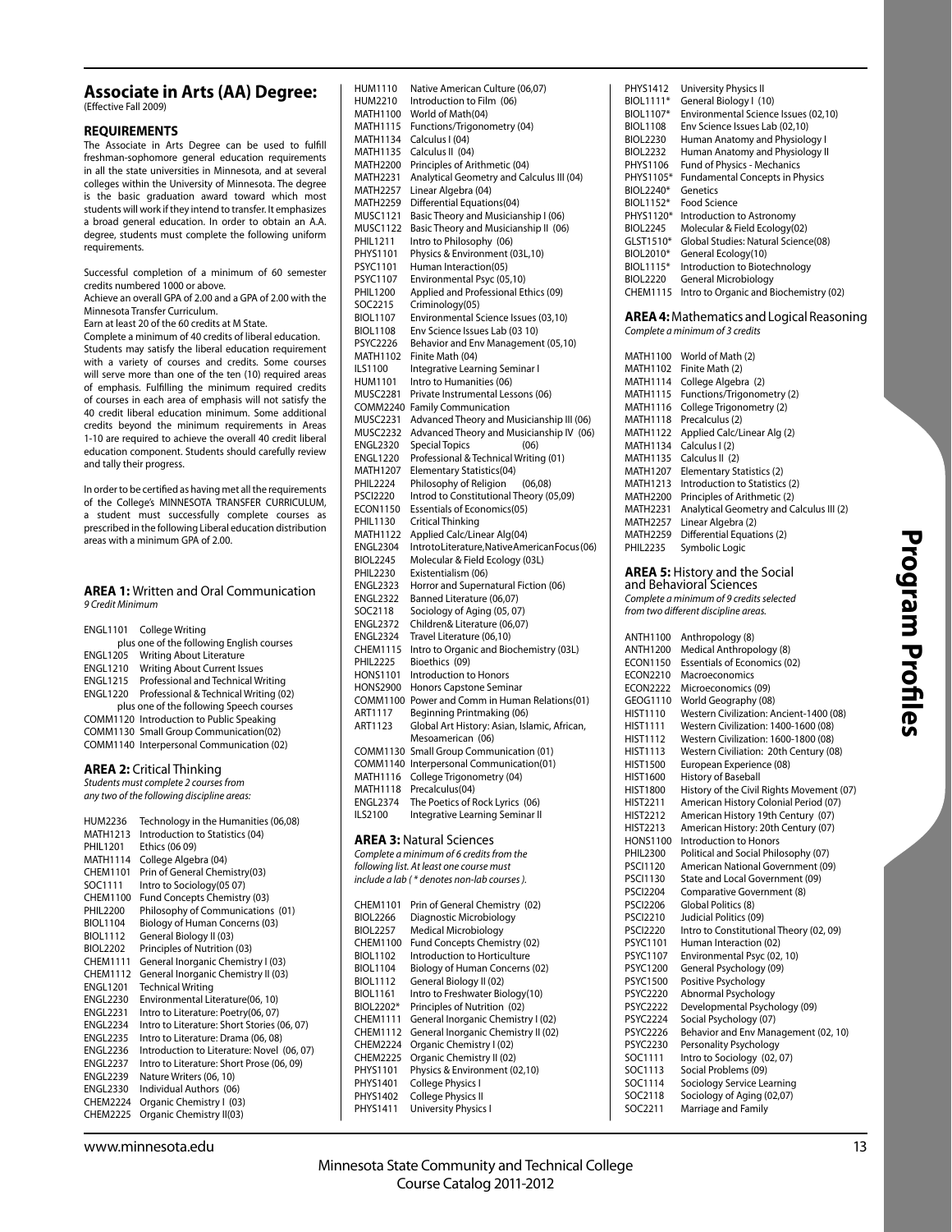## **Associate in Arts (AA) Degree:**

(Effective Fall 2009)

### **REQUIREMENTS**

The Associate in Arts Degree can be used to fulfill freshman-sophomore general education requirements in all the state universities in Minnesota, and at several colleges within the University of Minnesota. The degree is the basic graduation award toward which most students will work if they intend to transfer. It emphasizes a broad general education. In order to obtain an A.A. degree, students must complete the following uniform requirements.

Successful completion of a minimum of 60 semester credits numbered 1000 or above.

Achieve an overall GPA of 2.00 and a GPA of 2.00 with the Minnesota Transfer Curriculum.

Earn at least 20 of the 60 credits at M State.

Complete a minimum of 40 credits of liberal education. Students may satisfy the liberal education requirement with a variety of courses and credits. Some courses will serve more than one of the ten (10) required areas of emphasis. Fulfilling the minimum required credits of courses in each area of emphasis will not satisfy the 40 credit liberal education minimum. Some additional credits beyond the minimum requirements in Areas 1-10 are required to achieve the overall 40 credit liberal education component. Students should carefully review and tally their progress.

In order to be certified as having met all the requirements of the College's MINNESOTA TRANSFER CURRICULUM, a student must successfully complete courses as prescribed in the following Liberal education distribution areas with a minimum GPA of 2.00.

### **AREA 1:** Written and Oral Communication 9 Credit Minimum

| <b>ENGL1101</b> | College Writing                            |
|-----------------|--------------------------------------------|
|                 | plus one of the following English courses  |
| <b>ENGL1205</b> | <b>Writing About Literature</b>            |
| <b>ENGL1210</b> | <b>Writing About Current Issues</b>        |
| <b>ENGL1215</b> | Professional and Technical Writing         |
| <b>ENGL1220</b> | Professional & Technical Writing (02)      |
|                 | plus one of the following Speech courses   |
|                 | COMM1120 Introduction to Public Speaking   |
|                 | COMM1130 Small Group Communication(02)     |
|                 | COMM1140 Interpersonal Communication (02)  |
|                 |                                            |
|                 | <b>AREA 2: Critical Thinking</b>           |
|                 | Students must complete 2 courses from      |
|                 | any two of the following discipline areas: |
|                 |                                            |
| HUM2236         | Technology in the Humanities (06,08)       |
| MATH1213        | Introduction to Statistics (04)            |

| <b>PHIL1201</b> | Ethics (06 09)                              |
|-----------------|---------------------------------------------|
| <b>MATH1114</b> | College Algebra (04)                        |
| CHEM1101        | Prin of General Chemistry(03)               |
| SOC1111         | Intro to Sociology(05 07)                   |
| CHEM1100        | Fund Concepts Chemistry (03)                |
| <b>PHIL2200</b> | Philosophy of Communications (01)           |
| <b>BIOL1104</b> | Biology of Human Concerns (03)              |
| <b>BIOL1112</b> | General Biology II (03)                     |
| <b>BIOL2202</b> | Principles of Nutrition (03)                |
| <b>CHEM1111</b> | General Inorganic Chemistry I (03)          |
| <b>CHEM1112</b> | General Inorganic Chemistry II (03)         |
| <b>ENGL1201</b> | <b>Technical Writing</b>                    |
| <b>ENGL2230</b> | Environmental Literature(06, 10)            |
| <b>ENGL2231</b> | Intro to Literature: Poetry(06, 07)         |
| <b>ENGL2234</b> | Intro to Literature: Short Stories (06, 07) |
| <b>ENGL2235</b> | Intro to Literature: Drama (06, 08)         |
| <b>ENGL2236</b> | Introduction to Literature: Novel (06, 07)  |
| <b>ENGL2237</b> | Intro to Literature: Short Prose (06, 09)   |
| <b>ENGL2239</b> | Nature Writers (06, 10)                     |
| <b>ENGL2330</b> | Individual Authors (06)                     |
| <b>CHEM2224</b> | Organic Chemistry I (03)                    |
| <b>CHEM2225</b> | Organic Chemistry II(03)                    |

HUM1110 Native American Culture (06,07) HUM2210 Introduction to Film (06) MATH1100 World of Math(04) MATH1115 Functions/Trigonometry (04) MATH1134 Calculus I (04) MATH1135 Calculus II (04) MATH2200 Principles of Arithmetic (04) MATH2231 Analytical Geometry and Calculus III (04) MATH2257 Linear Algebra (04) MATH2259 Differential Equations(04) MUSC1121 Basic Theory and Musicianship I (06) MUSC1122 Basic Theory and Musicianship II (06)<br>PHIL1211 Intro to Philosophy (06) PHIL1211 Intro to Philosophy (06)<br>PHYS1101 Physics & Environment ( Physics & Environment (03L,10) PSYC1101 Human Interaction(05)<br>PSYC1107 Fnvironmental Psyc (05 Environmental Psyc (05,10) PHIL1200 Applied and Professional Ethics (09)<br>SOC2215 Criminology (05) Criminology(05) BIOL1107 Environmental Science Issues (03,10) BIOL1108 Env Science Issues Lab (03 10) PSYC2226 Behavior and Env Management (05,10) MATH1102 Finite Math (04)<br>ILS1100 Integrative Lear ILS1100 Integrative Learning Seminar I<br>HUM1101 Intro to Humanities (06) Intro to Humanities (06) MUSC2281 Private Instrumental Lessons (06) COMM2240 Family Communication MUSC2231 Advanced Theory and Musicianship III (06) MUSC2232 Advanced Theory and Musicianship IV (06) ENGL2320 Special Topics (06) ENGL1220 Professional & Technical Writing (01) MATH1207 Elementary Statistics(04) PHIL2224 Philosophy of Religion (06,08) PSCI2220 Introd to Constitutional Theory (05,09) ECON1150 Essentials of Economics(05)<br>PHIL1130 Critical Thinking **Critical Thinking** MATH1122 Applied Calc/Linear Alg(04) ENGL2304 Intro to Literature, Native American Focus (06)<br>BIOL2245 Molecular & Field Ecology (03L) BIOL2245 Molecular & Field Ecology (03L)<br>PHII 2230 Fxistentialism (06) **Fxistentialism (06)** ENGL2323 Horror and Supernatural Fiction (06)<br>FNGL2322 Banned Literature (06.07) ENGL2322 Banned Literature (06,07)<br>SOC2118 Sociology of Aging (05,07 SOC2118 Sociology of Aging (05, 07)<br>ENGL2372 Children& Literature (06,07) Children& Literature (06,07) ENGL2324 Travel Literature (06,10) CHEM1115 Intro to Organic and Biochemistry (03L) PHIL2225 Bioethics (09) HONS1101 Introduction to Honors HONS2900 Honors Capstone Seminar COMM1100 Power and Comm in Human Relations(01) ART1117 Beginning Printmaking (06)<br>ART1123 Global Art History: Asian. Isl. Global Art History: Asian, Islamic, African, Mesoamerican (06) COMM1130 Small Group Communication (01) COMM1140 Interpersonal Communication(01) MATH1116 College Trigonometry (04) MATH1118 Precalculus(04) ENGL2374 The Poetics of Rock Lyrics (06) ILS2100 Integrative Learning Seminar II **AREA 3:** Natural Sciences Complete a minimum of 6 credits from the following list. At least one course must include a lab ( \* denotes non-lab courses ). CHEM1101 Prin of General Chemistry (02) BIOL2266 Diagnostic Microbiology BIOL2257 Medical Microbiology CHEM1100 Fund Concepts Chemistry (02)<br>RIOL1102 Introduction to Horticulture BIOL1102 Introduction to Horticulture<br>BIOL1104 Biology of Human Concerns

| PHYS1412        | University Physics II                  |
|-----------------|----------------------------------------|
| BIOL1111*       | General Biology I (10)                 |
| BIOL1107*       | Environmental Science Issues (02,10)   |
| <b>BIOL1108</b> | Env Science Issues Lab (02,10)         |
| <b>BIOL2230</b> | Human Anatomy and Physiology I         |
| <b>BIOL2232</b> | Human Anatomy and Physiology II        |
| PHYS1106        | Fund of Physics - Mechanics            |
| PHYS1105*       | <b>Fundamental Concepts in Physics</b> |
| BIOL2240*       | Genetics                               |
| BIOL1152*       | Food Science                           |
| PHYS1120*       | Introduction to Astronomy              |
| <b>BIOL2245</b> | Molecular & Field Ecology(02)          |
| $GLST1510*$     | Global Studies: Natural Science(08)    |
| BIOL2010*       | General Ecology(10)                    |
| BIOL1115*       | Introduction to Biotechnology          |
| <b>BIOL2220</b> | <b>General Microbiology</b>            |
| CHEM1115        | Intro to Organic and Biochemistry (02) |
|                 |                                        |

**AREA 4:** Mathematics and Logical Reasoning Complete a minimum of 3 credits

| MATH1100        | World of Math (2)                        |
|-----------------|------------------------------------------|
| MATH1102        | Finite Math (2)                          |
| MATH1114        | College Algebra (2)                      |
| MATH1115        | Functions/Trigonometry (2)               |
| MATH1116        | College Trigonometry (2)                 |
| MATH1118        | Precalculus (2)                          |
| MATH1122        | Applied Calc/Linear Alg (2)              |
| MATH1134        | Calculus I (2)                           |
| MATH1135        | Calculus II (2)                          |
| MATH1207        | Elementary Statistics (2)                |
| MATH1213        | Introduction to Statistics (2)           |
| MATH2200        | Principles of Arithmetic (2)             |
| <b>MATH2231</b> | Analytical Geometry and Calculus III (2) |
| MATH2257        | Linear Algebra (2)                       |
| MATH2259        | Differential Equations (2)               |
| <b>PHIL2235</b> | Symbolic Logic                           |
|                 |                                          |

# **AREA 5:** History and the Social and Behavioral Sciences

Complete a minimum of 9 credits selected from two different discipline areas.

| ANTH1100        | Anthropology (8)                          |
|-----------------|-------------------------------------------|
| ANTH1200        | Medical Anthropology (8)                  |
| <b>ECON1150</b> | <b>Essentials of Economics (02)</b>       |
| ECON2210        | Macroeconomics                            |
| <b>ECON2222</b> | Microeconomics (09)                       |
| GEOG1110        | World Geography (08)                      |
| HIST1110        | Western Civilization: Ancient-1400 (08)   |
| <b>HIST1111</b> | Western Civilization: 1400-1600 (08)      |
| <b>HIST1112</b> | Western Civilization: 1600-1800 (08)      |
| <b>HIST1113</b> | Western Civiliation: 20th Century (08)    |
| <b>HIST1500</b> | European Experience (08)                  |
| HIST1600        | <b>History of Baseball</b>                |
| <b>HIST1800</b> | History of the Civil Rights Movement (07) |
| <b>HIST2211</b> | American History Colonial Period (07)     |
| <b>HIST2212</b> | American History 19th Century (07)        |
| <b>HIST2213</b> | American History: 20th Century (07)       |
| HONS1100        | Introduction to Honors                    |
| <b>PHIL2300</b> | Political and Social Philosophy (07)      |
| <b>PSCI1120</b> | American National Government (09)         |
| PSCI1130        | State and Local Government (09)           |
| <b>PSCI2204</b> | Comparative Government (8)                |
| <b>PSCI2206</b> | Global Politics (8)                       |
| <b>PSCI2210</b> | Judicial Politics (09)                    |
| <b>PSCI2220</b> | Intro to Constitutional Theory (02, 09)   |
| PSYC1101        | Human Interaction (02)                    |
| PSYC1107        | Environmental Psyc (02, 10)               |
| PSYC1200        | General Psychology (09)                   |
| PSYC1500        | Positive Psychology                       |
| <b>PSYC2220</b> | Abnormal Psychology                       |
| <b>PSYC2222</b> | Developmental Psychology (09)             |
| <b>PSYC2224</b> | Social Psychology (07)                    |
| <b>PSYC2226</b> | Behavior and Env Management (02, 10)      |
| <b>PSYC2230</b> | Personality Psychology                    |
| SOC1111         | Intro to Sociology (02, 07)               |
| SOC1113         | Social Problems (09)                      |
| SOC1114         | Sociology Service Learning                |
| SOC2118         | Sociology of Aging (02,07)                |
| SOC2211         | Marriage and Family                       |
|                 |                                           |

www.minnesota.edu 13

BIOL1104 Biology of Human Concerns (02)<br>BIOL1112 General Biology II (02) BIOL1112 General Biology II (02)<br>BIOL1161 Intro to Freshwater Bio BIOL1161 Intro to Freshwater Biology(10)<br>BIOL2202\* Principles of Nutrition (02) Principles of Nutrition (02) CHEM1111 General Inorganic Chemistry I (02) CHEM1112 General Inorganic Chemistry II (02) CHEM2224 Organic Chemistry I (02) CHEM2225 Organic Chemistry II (02) PHYS1101 Physics & Environment (02,10) PHYS1401 College Physics I PHYS1402 College Physics II PHYS1411 University Physics I